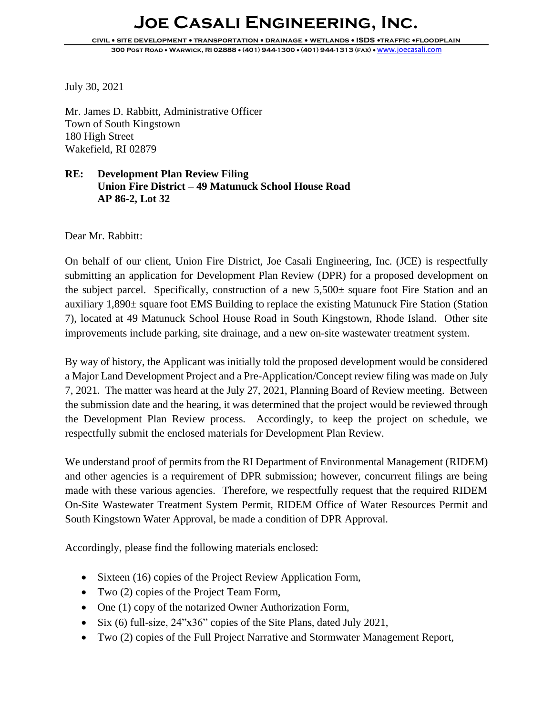## **Joe Casali Engineering, Inc.**

**civil** • **site development** • **transportation** • **drainage** • **wetlands** • **ISDS** •**traffic** •**floodplain 300 Post Road** • **Warwick, RI 02888** • **(401) 944-1300** • **(401) 944-1313 (fax)** • [www.joecasali.com](http://www.joecasali.com/)

July 30, 2021

Mr. James D. Rabbitt, Administrative Officer Town of South Kingstown 180 High Street Wakefield, RI 02879

## **RE: Development Plan Review Filing Union Fire District – 49 Matunuck School House Road AP 86-2, Lot 32**

Dear Mr. Rabbitt:

On behalf of our client, Union Fire District, Joe Casali Engineering, Inc. (JCE) is respectfully submitting an application for Development Plan Review (DPR) for a proposed development on the subject parcel. Specifically, construction of a new  $5{,}500\pm$  square foot Fire Station and an auxiliary 1,890± square foot EMS Building to replace the existing Matunuck Fire Station (Station 7), located at 49 Matunuck School House Road in South Kingstown, Rhode Island. Other site improvements include parking, site drainage, and a new on-site wastewater treatment system.

By way of history, the Applicant was initially told the proposed development would be considered a Major Land Development Project and a Pre-Application/Concept review filing was made on July 7, 2021. The matter was heard at the July 27, 2021, Planning Board of Review meeting. Between the submission date and the hearing, it was determined that the project would be reviewed through the Development Plan Review process. Accordingly, to keep the project on schedule, we respectfully submit the enclosed materials for Development Plan Review.

We understand proof of permits from the RI Department of Environmental Management (RIDEM) and other agencies is a requirement of DPR submission; however, concurrent filings are being made with these various agencies. Therefore, we respectfully request that the required RIDEM On-Site Wastewater Treatment System Permit, RIDEM Office of Water Resources Permit and South Kingstown Water Approval, be made a condition of DPR Approval.

Accordingly, please find the following materials enclosed:

- Sixteen (16) copies of the Project Review Application Form,
- Two (2) copies of the Project Team Form,
- One (1) copy of the notarized Owner Authorization Form,
- Six (6) full-size, 24"x36" copies of the Site Plans, dated July 2021,
- Two (2) copies of the Full Project Narrative and Stormwater Management Report,